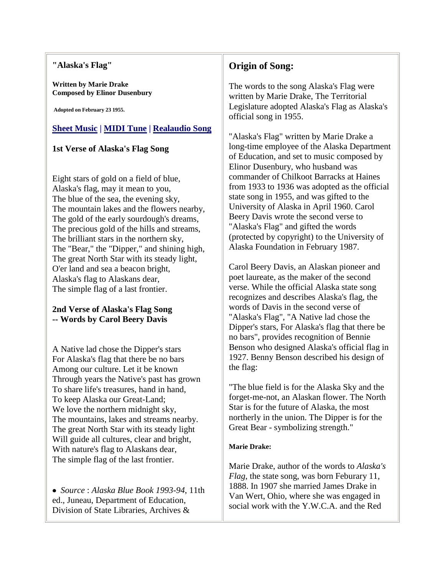#### **"Alaska's Flag"**

**Written by Marie Drake Composed by Elinor Dusenbury**

**Adopted on February 23 1955.**

## **[Sheet Music](http://www.alaska.net/~surlyc/ACWD/akflagsheetmusic.html) | [MIDI Tune](http://www.alaska.net/~surlyc/ACWD/AlaskaFlagSong.mid) | [Realaudio Song](http://www.alaska.net/~surlyc/ACWD/AlaskaFlagSong.rm)**

### **1st Verse of Alaska's Flag Song**

Eight stars of gold on a field of blue, Alaska's flag, may it mean to you, The blue of the sea, the evening sky, The mountain lakes and the flowers nearby, The gold of the early sourdough's dreams, The precious gold of the hills and streams, The brilliant stars in the northern sky, The "Bear," the "Dipper," and shining high, The great North Star with its steady light, O'er land and sea a beacon bright, Alaska's flag to Alaskans dear, The simple flag of a last frontier.

### **2nd Verse of Alaska's Flag Song -- Words by Carol Beery Davis**

A Native lad chose the Dipper's stars For Alaska's flag that there be no bars Among our culture. Let it be known Through years the Native's past has grown To share life's treasures, hand in hand, To keep Alaska our Great-Land; We love the northern midnight sky, The mountains, lakes and streams nearby. The great North Star with its steady light Will guide all cultures, clear and bright, With nature's flag to Alaskans dear, The simple flag of the last frontier.

 *Source* : *Alaska Blue Book 1993-94*, 11th ed., Juneau, Department of Education, Division of State Libraries, Archives &

# **Origin of Song:**

The words to the song Alaska's Flag were written by Marie Drake, The Territorial Legislature adopted Alaska's Flag as Alaska's official song in 1955.

"Alaska's Flag" written by Marie Drake a long-time employee of the Alaska Department of Education, and set to music composed by Elinor Dusenbury, who husband was commander of Chilkoot Barracks at Haines from 1933 to 1936 was adopted as the official state song in 1955, and was gifted to the University of Alaska in April 1960. Carol Beery Davis wrote the second verse to "Alaska's Flag" and gifted the words (protected by copyright) to the University of Alaska Foundation in February 1987.

Carol Beery Davis, an Alaskan pioneer and poet laureate, as the maker of the second verse. While the official Alaska state song recognizes and describes Alaska's flag, the words of Davis in the second verse of "Alaska's Flag", "A Native lad chose the Dipper's stars, For Alaska's flag that there be no bars", provides recognition of Bennie Benson who designed Alaska's official flag in 1927. Benny Benson described his design of the flag:

"The blue field is for the Alaska Sky and the forget-me-not, an Alaskan flower. The North Star is for the future of Alaska, the most northerly in the union. The Dipper is for the Great Bear - symbolizing strength."

#### **Marie Drake:**

Marie Drake, author of the words to *Alaska's Flag*, the state song, was born Feburary 11, 1888. In 1907 she married James Drake in Van Wert, Ohio, where she was engaged in social work with the Y.W.C.A. and the Red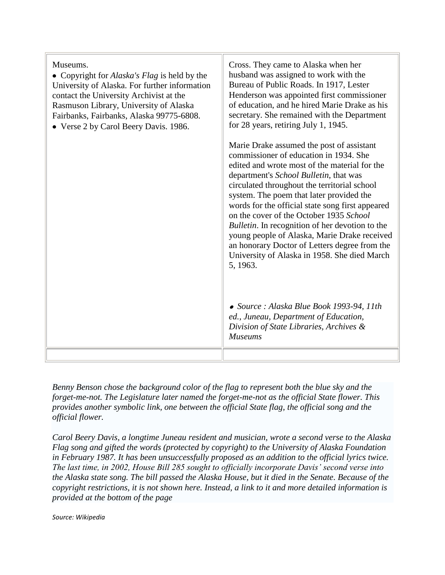| Museums.<br>• Copyright for <i>Alaska's Flag</i> is held by the<br>University of Alaska. For further information<br>contact the University Archivist at the<br>Rasmuson Library, University of Alaska<br>Fairbanks, Fairbanks, Alaska 99775-6808.<br>• Verse 2 by Carol Beery Davis. 1986. | Cross. They came to Alaska when her<br>husband was assigned to work with the<br>Bureau of Public Roads. In 1917, Lester<br>Henderson was appointed first commissioner<br>of education, and he hired Marie Drake as his<br>secretary. She remained with the Department<br>for 28 years, retiring July 1, 1945.<br>Marie Drake assumed the post of assistant<br>commissioner of education in 1934. She<br>edited and wrote most of the material for the<br>department's School Bulletin, that was<br>circulated throughout the territorial school<br>system. The poem that later provided the<br>words for the official state song first appeared<br>on the cover of the October 1935 School<br><i>Bulletin</i> . In recognition of her devotion to the<br>young people of Alaska, Marie Drake received<br>an honorary Doctor of Letters degree from the<br>University of Alaska in 1958. She died March<br>5, 1963. |
|--------------------------------------------------------------------------------------------------------------------------------------------------------------------------------------------------------------------------------------------------------------------------------------------|--------------------------------------------------------------------------------------------------------------------------------------------------------------------------------------------------------------------------------------------------------------------------------------------------------------------------------------------------------------------------------------------------------------------------------------------------------------------------------------------------------------------------------------------------------------------------------------------------------------------------------------------------------------------------------------------------------------------------------------------------------------------------------------------------------------------------------------------------------------------------------------------------------------------|
|                                                                                                                                                                                                                                                                                            | • Source : Alaska Blue Book 1993-94, 11th<br>ed., Juneau, Department of Education,<br>Division of State Libraries, Archives &<br><b>Museums</b>                                                                                                                                                                                                                                                                                                                                                                                                                                                                                                                                                                                                                                                                                                                                                                    |

*Benny Benson chose the background color of the flag to represent both the blue sky and the forget-me-not. The Legislature later named the forget-me-not as the official State flower. This provides another symbolic link, one between the official State flag, the official song and the official flower.*

*Carol Beery Davis, a longtime Juneau resident and musician, wrote a second verse to the Alaska Flag song and gifted the words (protected by copyright) to the University of Alaska Foundation in February 1987. It has been unsuccessfully proposed as an addition to the official lyrics twice. The last time, in 2002, House Bill 285 sought to officially incorporate Davis' second verse into the Alaska state song. The bill passed the Alaska House, but it died in the Senate. Because of the copyright restrictions, it is not shown here. Instead, a link to it and more detailed information is provided at the bottom of the page*

*Source: Wikipedia*